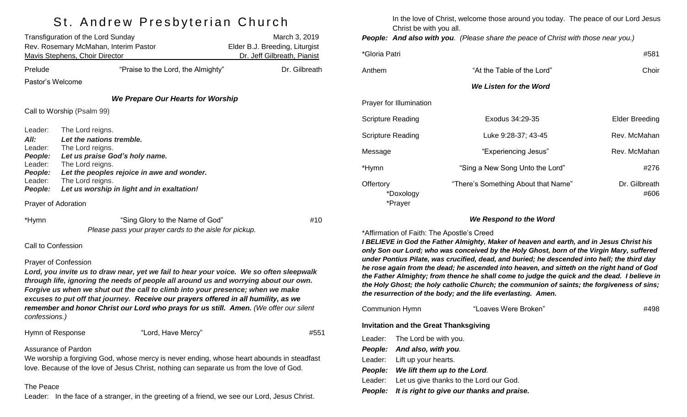## St. Andrew Presbyterian Church

|                                                                                          | Transfiguration of the Lord Sunday<br>Rev. Rosemary McMahan, Interim Pastor<br><b>Mavis Stephens, Choir Director</b>                                                                                                                                                                                                                                                                                                                                                             | March 3, 2019<br>Elder B.J. Breeding, Liturgist<br>Dr. Jeff Gilbreath, Pianist |
|------------------------------------------------------------------------------------------|----------------------------------------------------------------------------------------------------------------------------------------------------------------------------------------------------------------------------------------------------------------------------------------------------------------------------------------------------------------------------------------------------------------------------------------------------------------------------------|--------------------------------------------------------------------------------|
| Prelude                                                                                  | "Praise to the Lord, the Almighty"                                                                                                                                                                                                                                                                                                                                                                                                                                               | Dr. Gilbreath                                                                  |
| Pastor's Welcome                                                                         |                                                                                                                                                                                                                                                                                                                                                                                                                                                                                  |                                                                                |
|                                                                                          | <b>We Prepare Our Hearts for Worship</b>                                                                                                                                                                                                                                                                                                                                                                                                                                         |                                                                                |
|                                                                                          | Call to Worship (Psalm 99)                                                                                                                                                                                                                                                                                                                                                                                                                                                       |                                                                                |
| Leader:<br>All:<br>Leader:<br><b>People:</b><br>Leader:<br>People:<br>Leader:<br>People: | The Lord reigns.<br>Let the nations tremble.<br>The Lord reigns.<br>Let us praise God's holy name.<br>The Lord reigns.<br>Let the peoples rejoice in awe and wonder.<br>The Lord reigns.<br>Let us worship in light and in exaltation!                                                                                                                                                                                                                                           |                                                                                |
| Prayer of Adoration                                                                      |                                                                                                                                                                                                                                                                                                                                                                                                                                                                                  |                                                                                |
| *Hymn                                                                                    | "Sing Glory to the Name of God"<br>Please pass your prayer cards to the aisle for pickup.                                                                                                                                                                                                                                                                                                                                                                                        | #10                                                                            |
| Call to Confession                                                                       |                                                                                                                                                                                                                                                                                                                                                                                                                                                                                  |                                                                                |
| confessions.)                                                                            | <b>Prayer of Confession</b><br>Lord, you invite us to draw near, yet we fail to hear your voice. We so often sleepwalk<br>through life, ignoring the needs of people all around us and worrying about our own.<br>Forgive us when we shut out the call to climb into your presence; when we make<br>excuses to put off that journey. Receive our prayers offered in all humility, as we<br>remember and honor Christ our Lord who prays for us still. Amen. (We offer our silent |                                                                                |
| Hymn of Response                                                                         | "Lord, Have Mercy"                                                                                                                                                                                                                                                                                                                                                                                                                                                               | #551                                                                           |
|                                                                                          | Assurance of Pardon                                                                                                                                                                                                                                                                                                                                                                                                                                                              |                                                                                |

We worship a forgiving God, whose mercy is never ending, whose heart abounds in steadfast love. Because of the love of Jesus Christ, nothing can separate us from the love of God.

#### The Peace

Leader: In the face of a stranger, in the greeting of a friend, we see our Lord, Jesus Christ.

In the love of Christ, welcome those around you today. The peace of our Lord Jesus Christ be with you all.

*People: And also with you. (Please share the peace of Christ with those near you.)*

| *Gloria Patri                     |                                     | #581                  |
|-----------------------------------|-------------------------------------|-----------------------|
| Anthem                            | "At the Table of the Lord"          | Choir                 |
|                                   | We Listen for the Word              |                       |
| Prayer for Illumination           |                                     |                       |
| <b>Scripture Reading</b>          | Exodus 34:29-35                     | Elder Breeding        |
| <b>Scripture Reading</b>          | Luke 9:28-37; 43-45                 | Rev. McMahan          |
| Message                           | "Experiencing Jesus"                | Rev. McMahan          |
| *Hymn                             | "Sing a New Song Unto the Lord"     | #276                  |
| Offertory<br>*Doxology<br>*Prayer | "There's Something About that Name" | Dr. Gilbreath<br>#606 |

*We Respond to the Word*

\*Affirmation of Faith: The Apostle's Creed

*I BELIEVE in God the Father Almighty, Maker of heaven and earth, and in Jesus Christ his only Son our Lord; who was conceived by the Holy Ghost, born of the Virgin Mary, suffered under Pontius Pilate, was crucified, dead, and buried; he descended into hell; the third day he rose again from the dead; he ascended into heaven, and sitteth on the right hand of God the Father Almighty; from thence he shall come to judge the quick and the dead. I believe in the Holy Ghost; the holy catholic Church; the communion of saints; the forgiveness of sins; the resurrection of the body; and the life everlasting. Amen.*

| Communion Hymn |                                              | "Loaves Were Broken"                               | #498 |
|----------------|----------------------------------------------|----------------------------------------------------|------|
|                | <b>Invitation and the Great Thanksgiving</b> |                                                    |      |
|                | Leader: The Lord be with you.                |                                                    |      |
|                | People: And also, with you.                  |                                                    |      |
|                | Leader: Lift up your hearts.                 |                                                    |      |
| <b>People:</b> | We lift them up to the Lord.                 |                                                    |      |
| Leader:        | Let us give thanks to the Lord our God.      |                                                    |      |
|                |                                              | People: It is right to give our thanks and praise. |      |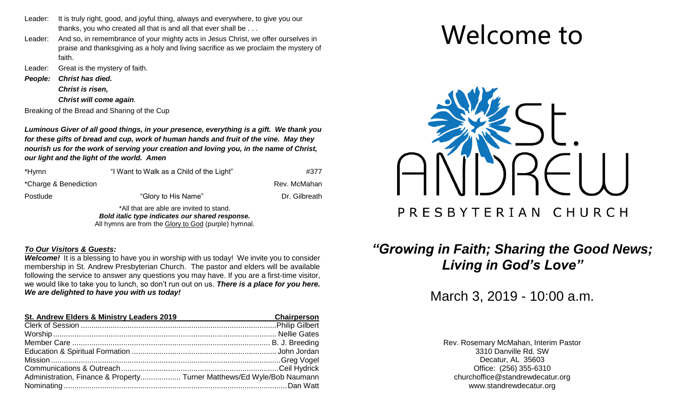- Leader: It is truly right, good, and joyful thing, always and everywhere, to give you our thanks, you who created all that is and all that ever shall be . . .
- Leader: And so, in remembrance of your mighty acts in Jesus Christ, we offer ourselves in praise and thanksgiving as a holy and living sacrifice as we proclaim the mystery of faith.
- Leader: Great is the mystery of faith.
- *People: Christ has died.*

*Christ is risen,*

*Christ will come again.* 

Breaking of the Bread and Sharing of the Cup

*Luminous Giver of all good things, in your presence, everything is a gift. We thank you for these gifts of bread and cup, work of human hands and fruit of the vine. May they nourish us for the work of serving your creation and loving you, in the name of Christ, our light and the light of the world. Amen*

| *Hymn                 | "I Want to Walk as a Child of the Light"                                                    | #377          |
|-----------------------|---------------------------------------------------------------------------------------------|---------------|
| *Charge & Benediction |                                                                                             | Rev. McMahan  |
| Postlude              | "Glory to His Name"                                                                         | Dr. Gilbreath |
|                       | *All that are able are invited to stand.<br>Bold italic type indicates our shared response. |               |
|                       | All hymns are from the Glory to God (purple) hymnal.                                        |               |

### *To Our Visitors & Guests:*

*Welcome!* It is a blessing to have you in worship with us today! We invite you to consider membership in St. Andrew Presbyterian Church. The pastor and elders will be available following the service to answer any questions you may have. If you are a first-time visitor, we would like to take you to lunch, so don't run out on us. *There is a place for you here. We are delighted to have you with us today!*

| St. Andrew Elders & Ministry Leaders 2019                              | <b>Chairperson</b> |
|------------------------------------------------------------------------|--------------------|
|                                                                        |                    |
|                                                                        |                    |
|                                                                        |                    |
|                                                                        |                    |
|                                                                        |                    |
|                                                                        |                    |
| Administration, Finance & Property Turner Matthews/Ed Wyle/Bob Naumann |                    |
|                                                                        |                    |

# Welcome to



# *"Growing in Faith; Sharing the Good News; Living in God's Love"*

March 3, 2019 - 10:00 a.m.

Rev. Rosemary McMahan, Interim Pastor 3310 Danville Rd. SW Decatur, AL 35603 Office: (256) 355-6310 [churchoffice@standrewdecatur.org](mailto:churchoffice@standrewdecatur.org) [www.standrewdecatur.org](http://www.standrewdecatur.org/)